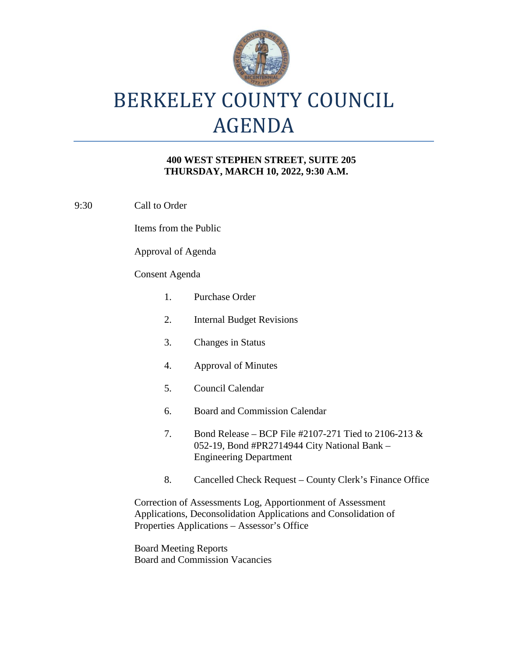

# BERKELEY COUNTY COUNCIL AGENDA

### **400 WEST STEPHEN STREET, SUITE 205 THURSDAY, MARCH 10, 2022, 9:30 A.M.**

9:30 Call to Order

Items from the Public

Approval of Agenda

#### Consent Agenda

| 1. | Purchase Order                                                                                                                           |
|----|------------------------------------------------------------------------------------------------------------------------------------------|
| 2. | <b>Internal Budget Revisions</b>                                                                                                         |
| 3. | Changes in Status                                                                                                                        |
| 4. | <b>Approval of Minutes</b>                                                                                                               |
| 5. | Council Calendar                                                                                                                         |
| 6. | <b>Board and Commission Calendar</b>                                                                                                     |
| 7. | Bond Release – BCP File #2107-271 Tied to 2106-213 $\&$<br>052-19, Bond #PR2714944 City National Bank –<br><b>Engineering Department</b> |
| 8. | Cancelled Check Request – County Clerk's Finance Offic                                                                                   |
|    | Correction of Assessments Log, Apportionment of Assessment<br>Applications, Deconsolidation Applications and Consolidation of            |

Finance Office

Properties Applications – Assessor's Office

Board Meeting Reports Board and Commission Vacancies